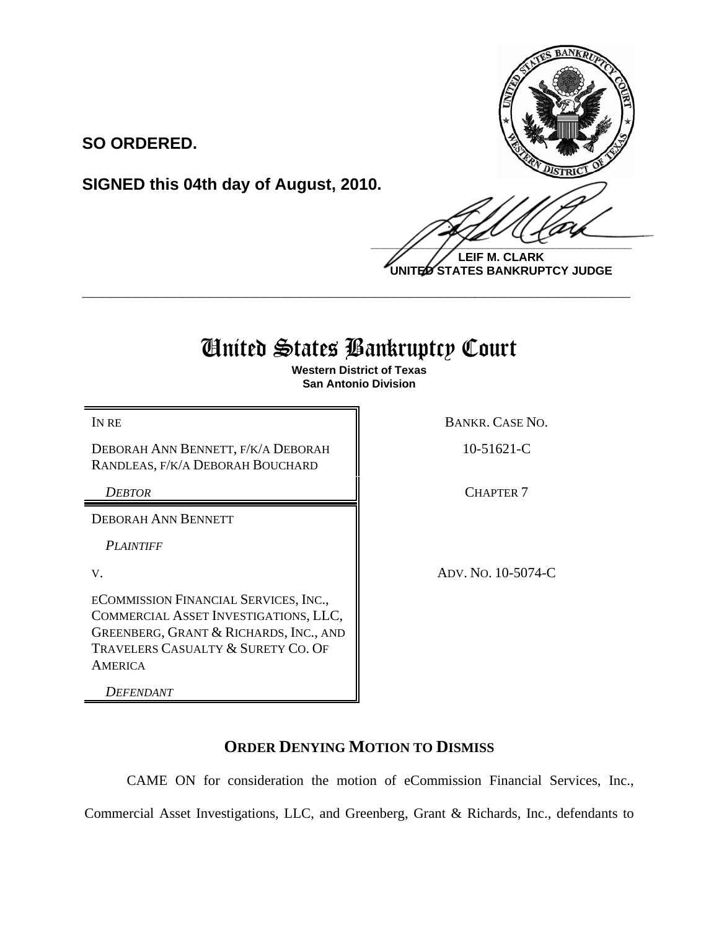**SO ORDERED.**

**SIGNED this 04th day of August, 2010.**

 $\frac{1}{2}$ 

**LEIF M. CLARK UNITED STATES BANKRUPTCY JUDGE**

## United States Bankruptcy Court

**\_\_\_\_\_\_\_\_\_\_\_\_\_\_\_\_\_\_\_\_\_\_\_\_\_\_\_\_\_\_\_\_\_\_\_\_\_\_\_\_\_\_\_\_\_\_\_\_\_\_\_\_\_\_\_\_\_\_\_\_**

**Western District of Texas San Antonio Division**

DEBORAH ANN BENNETT, F/K/A DEBORAH RANDLEAS, F/K/A DEBORAH BOUCHARD

DEBORAH ANN BENNETT

*PLAINTIFF* 

ECOMMISSION FINANCIAL SERVICES, INC., COMMERCIAL ASSET INVESTIGATIONS, LLC, GREENBERG, GRANT & RICHARDS, INC., AND TRAVELERS CASUALTY & SURETY CO. OF AMERICA

*DEFENDANT*

IN RE BANKR. CASE NO.

10-51621-C

**DEBTOR** CHAPTER 7

V. ADV. NO. 10-5074-C

## **ORDER DENYING MOTION TO DISMISS**

CAME ON for consideration the motion of eCommission Financial Services, Inc., Commercial Asset Investigations, LLC, and Greenberg, Grant & Richards, Inc., defendants to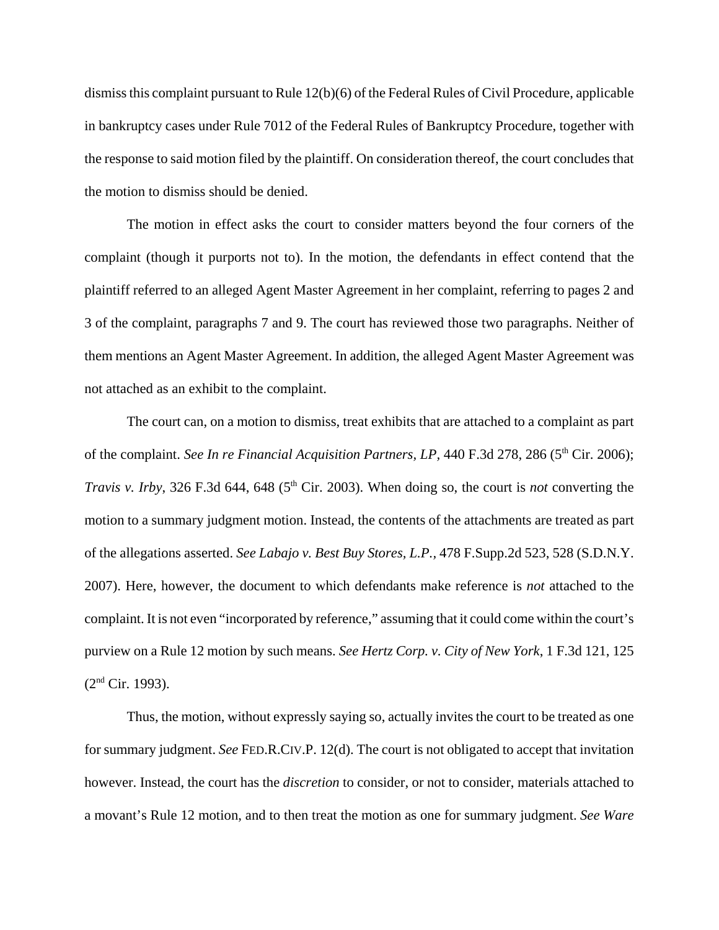dismiss this complaint pursuant to Rule 12(b)(6) of the Federal Rules of Civil Procedure, applicable in bankruptcy cases under Rule 7012 of the Federal Rules of Bankruptcy Procedure, together with the response to said motion filed by the plaintiff. On consideration thereof, the court concludes that the motion to dismiss should be denied.

The motion in effect asks the court to consider matters beyond the four corners of the complaint (though it purports not to). In the motion, the defendants in effect contend that the plaintiff referred to an alleged Agent Master Agreement in her complaint, referring to pages 2 and 3 of the complaint, paragraphs 7 and 9. The court has reviewed those two paragraphs. Neither of them mentions an Agent Master Agreement. In addition, the alleged Agent Master Agreement was not attached as an exhibit to the complaint.

The court can, on a motion to dismiss, treat exhibits that are attached to a complaint as part of the complaint. *See In re Financial Acquisition Partners, LP*, 440 F.3d 278, 286 (5<sup>th</sup> Cir. 2006); *Travis v. Irby*, 326 F.3d 644, 648 (5<sup>th</sup> Cir. 2003). When doing so, the court is *not* converting the motion to a summary judgment motion. Instead, the contents of the attachments are treated as part of the allegations asserted. *See Labajo v. Best Buy Stores, L.P.,* 478 F.Supp.2d 523, 528 (S.D.N.Y. 2007). Here, however, the document to which defendants make reference is *not* attached to the complaint. It is not even "incorporated by reference," assuming that it could come within the court's purview on a Rule 12 motion by such means. *See Hertz Corp. v. City of New York*, 1 F.3d 121, 125  $(2<sup>nd</sup> Cir. 1993).$ 

Thus, the motion, without expressly saying so, actually invites the court to be treated as one for summary judgment. *See* FED.R.CIV.P. 12(d). The court is not obligated to accept that invitation however. Instead, the court has the *discretion* to consider, or not to consider, materials attached to a movant's Rule 12 motion, and to then treat the motion as one for summary judgment. *See Ware*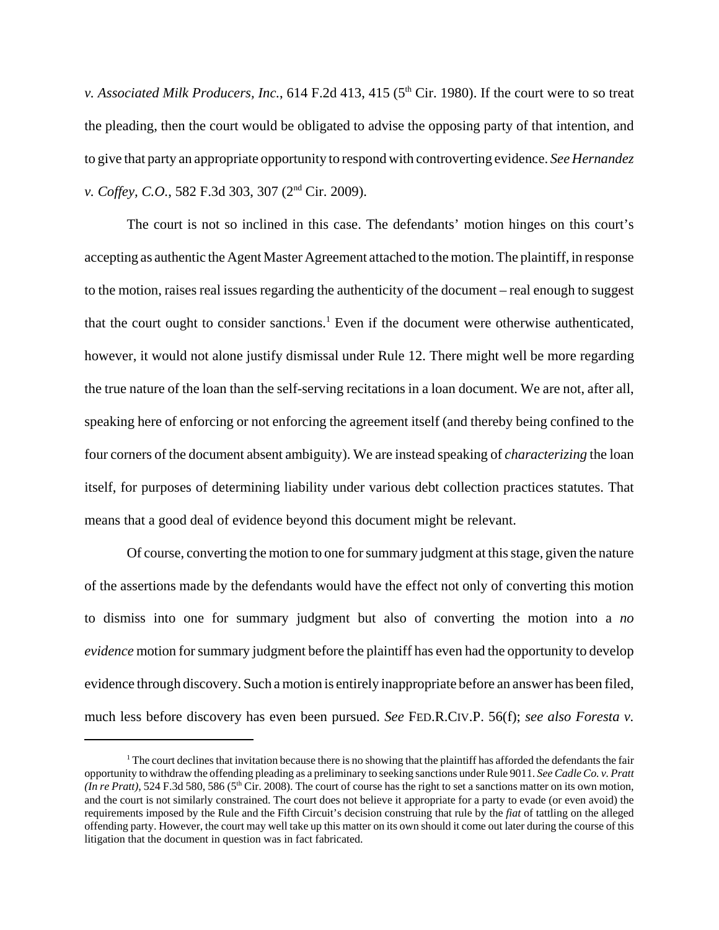*v. Associated Milk Producers, Inc., 614 F.2d 413, 415 (5<sup>th</sup> Cir. 1980). If the court were to so treat* the pleading, then the court would be obligated to advise the opposing party of that intention, and to give that party an appropriate opportunity to respond with controverting evidence. *See Hernandez v. Coffey, C.O.*, 582 F.3d 303, 307 (2nd Cir. 2009).

The court is not so inclined in this case. The defendants' motion hinges on this court's accepting as authentic the Agent Master Agreement attached to the motion. The plaintiff, in response to the motion, raises real issues regarding the authenticity of the document – real enough to suggest that the court ought to consider sanctions.<sup>1</sup> Even if the document were otherwise authenticated, however, it would not alone justify dismissal under Rule 12. There might well be more regarding the true nature of the loan than the self-serving recitations in a loan document. We are not, after all, speaking here of enforcing or not enforcing the agreement itself (and thereby being confined to the four corners of the document absent ambiguity). We are instead speaking of *characterizing* the loan itself, for purposes of determining liability under various debt collection practices statutes. That means that a good deal of evidence beyond this document might be relevant.

Of course, converting the motion to one for summary judgment at this stage, given the nature of the assertions made by the defendants would have the effect not only of converting this motion to dismiss into one for summary judgment but also of converting the motion into a *no evidence* motion for summary judgment before the plaintiff has even had the opportunity to develop evidence through discovery. Such a motion is entirely inappropriate before an answer has been filed, much less before discovery has even been pursued. *See* FED.R.CIV.P. 56(f); *see also Foresta v.*

<sup>&</sup>lt;sup>1</sup> The court declines that invitation because there is no showing that the plaintiff has afforded the defendants the fair opportunity to withdraw the offending pleading as a preliminary to seeking sanctions under Rule 9011. *See Cadle Co. v. Pratt (In re Pratt)*, 524 F.3d 580, 586 (5<sup>th</sup> Cir. 2008). The court of course has the right to set a sanctions matter on its own motion, and the court is not similarly constrained. The court does not believe it appropriate for a party to evade (or even avoid) the requirements imposed by the Rule and the Fifth Circuit's decision construing that rule by the *fiat* of tattling on the alleged offending party. However, the court may well take up this matter on its own should it come out later during the course of this litigation that the document in question was in fact fabricated.